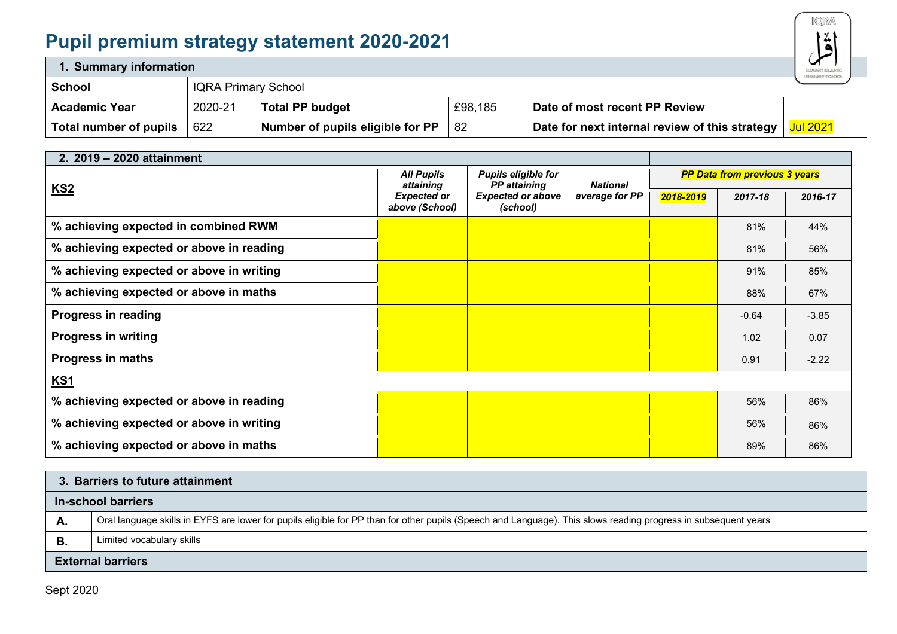## **Pupil premium strategy statement 2020-2021**



| 1. Summary information |                            |                                  |         |                                                | ◡<br>SLOUGH ISLAMIC<br>primary school |
|------------------------|----------------------------|----------------------------------|---------|------------------------------------------------|---------------------------------------|
| <b>School</b>          | <b>IQRA Primary School</b> |                                  |         |                                                |                                       |
| <b>Academic Year</b>   | 2020-21                    | <b>Total PP budget</b>           | £98,185 | Date of most recent PP Review                  |                                       |
| Total number of pupils | 622                        | Number of pupils eligible for PP | -82     | Date for next internal review of this strategy | <b>Jul 2021</b>                       |

| 2. 2019 - 2020 attainment                |                                      |                                            |                                   |                                      |         |         |
|------------------------------------------|--------------------------------------|--------------------------------------------|-----------------------------------|--------------------------------------|---------|---------|
|                                          | <b>All Pupils</b><br>attaining       | Pupils eligible for<br><b>PP</b> attaining | <b>National</b><br>average for PP | <b>PP Data from previous 3 years</b> |         |         |
| <b>KS2</b>                               | <b>Expected or</b><br>above (School) | <b>Expected or above</b><br>(school)       |                                   | 2018-2019                            | 2017-18 | 2016-17 |
| % achieving expected in combined RWM     |                                      |                                            |                                   |                                      | 81%     | 44%     |
| % achieving expected or above in reading |                                      |                                            |                                   |                                      | 81%     | 56%     |
| % achieving expected or above in writing |                                      |                                            |                                   |                                      | 91%     | 85%     |
| % achieving expected or above in maths   |                                      |                                            |                                   |                                      | 88%     | 67%     |
| <b>Progress in reading</b>               |                                      |                                            |                                   |                                      | $-0.64$ | $-3.85$ |
| <b>Progress in writing</b>               |                                      |                                            |                                   |                                      | 1.02    | 0.07    |
| <b>Progress in maths</b>                 |                                      |                                            |                                   |                                      | 0.91    | $-2.22$ |
| KS1                                      |                                      |                                            |                                   |                                      |         |         |
| % achieving expected or above in reading |                                      |                                            |                                   |                                      | 56%     | 86%     |
| % achieving expected or above in writing |                                      |                                            |                                   |                                      | 56%     | 86%     |
| % achieving expected or above in maths   |                                      |                                            |                                   |                                      | 89%     | 86%     |

## **3. Barriers to future attainment In-school barriers** A. **A.** Oral language skills in EYFS are lower for pupils eligible for PP than for other pupils (Speech and Language). This slows reading progress in subsequent years **B.** Limited vocabulary skills **External barriers**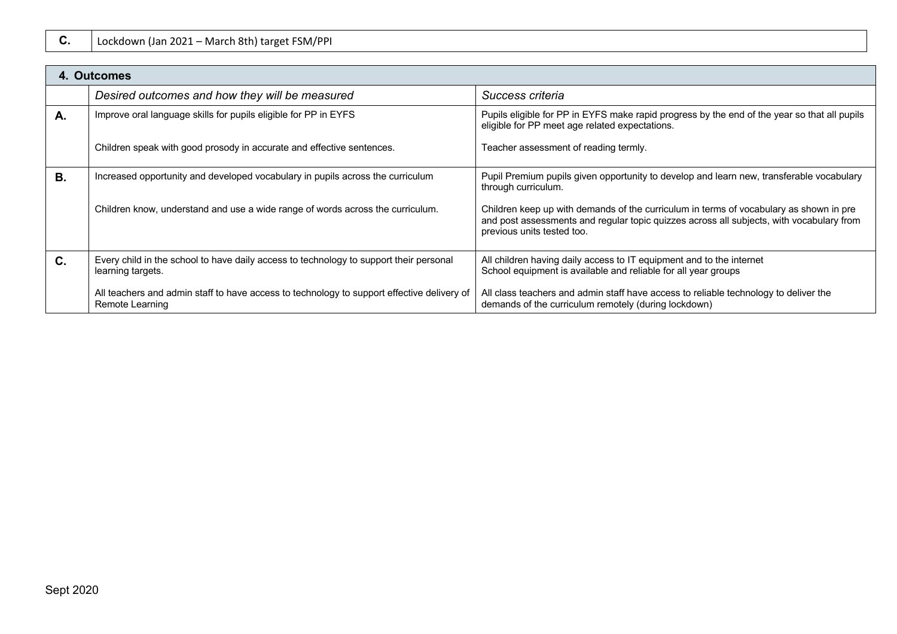|    | 4. Outcomes                                                                                                   |                                                                                                                                                                                                                  |
|----|---------------------------------------------------------------------------------------------------------------|------------------------------------------------------------------------------------------------------------------------------------------------------------------------------------------------------------------|
|    | Desired outcomes and how they will be measured                                                                | Success criteria                                                                                                                                                                                                 |
| A. | Improve oral language skills for pupils eligible for PP in EYFS                                               | Pupils eligible for PP in EYFS make rapid progress by the end of the year so that all pupils<br>eligible for PP meet age related expectations.                                                                   |
|    | Children speak with good prosody in accurate and effective sentences.                                         | Teacher assessment of reading termly.                                                                                                                                                                            |
| В. | Increased opportunity and developed vocabulary in pupils across the curriculum                                | Pupil Premium pupils given opportunity to develop and learn new, transferable vocabulary<br>through curriculum.                                                                                                  |
|    | Children know, understand and use a wide range of words across the curriculum.                                | Children keep up with demands of the curriculum in terms of vocabulary as shown in pre<br>and post assessments and regular topic quizzes across all subjects, with vocabulary from<br>previous units tested too. |
| C. | Every child in the school to have daily access to technology to support their personal<br>learning targets.   | All children having daily access to IT equipment and to the internet<br>School equipment is available and reliable for all year groups                                                                           |
|    | All teachers and admin staff to have access to technology to support effective delivery of<br>Remote Learning | All class teachers and admin staff have access to reliable technology to deliver the<br>demands of the curriculum remotely (during lockdown)                                                                     |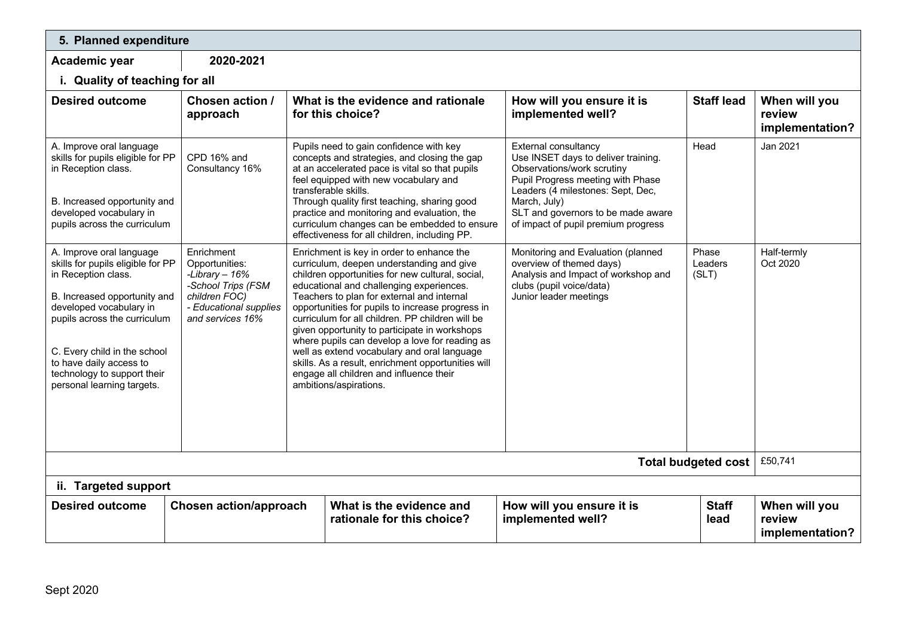| 5. Planned expenditure                                                                                                                                                                                                                                                                                  |                                                                                                                                      |  |                                                                                                                                                                                                                                                                                                                                                                                                                                                                                                                                                                                                                           |                                                                                                                                                                                                                                                                  |                           |                                            |  |  |
|---------------------------------------------------------------------------------------------------------------------------------------------------------------------------------------------------------------------------------------------------------------------------------------------------------|--------------------------------------------------------------------------------------------------------------------------------------|--|---------------------------------------------------------------------------------------------------------------------------------------------------------------------------------------------------------------------------------------------------------------------------------------------------------------------------------------------------------------------------------------------------------------------------------------------------------------------------------------------------------------------------------------------------------------------------------------------------------------------------|------------------------------------------------------------------------------------------------------------------------------------------------------------------------------------------------------------------------------------------------------------------|---------------------------|--------------------------------------------|--|--|
| Academic year                                                                                                                                                                                                                                                                                           | 2020-2021                                                                                                                            |  |                                                                                                                                                                                                                                                                                                                                                                                                                                                                                                                                                                                                                           |                                                                                                                                                                                                                                                                  |                           |                                            |  |  |
| i. Quality of teaching for all                                                                                                                                                                                                                                                                          |                                                                                                                                      |  |                                                                                                                                                                                                                                                                                                                                                                                                                                                                                                                                                                                                                           |                                                                                                                                                                                                                                                                  |                           |                                            |  |  |
| <b>Desired outcome</b>                                                                                                                                                                                                                                                                                  | Chosen action /<br>approach                                                                                                          |  | What is the evidence and rationale<br>for this choice?                                                                                                                                                                                                                                                                                                                                                                                                                                                                                                                                                                    | How will you ensure it is<br>implemented well?                                                                                                                                                                                                                   | <b>Staff lead</b>         | When will you<br>review<br>implementation? |  |  |
| A. Improve oral language<br>skills for pupils eligible for PP<br>in Reception class.<br>B. Increased opportunity and<br>developed vocabulary in<br>pupils across the curriculum                                                                                                                         | CPD 16% and<br>Consultancy 16%                                                                                                       |  | Pupils need to gain confidence with key<br>concepts and strategies, and closing the gap<br>at an accelerated pace is vital so that pupils<br>feel equipped with new vocabulary and<br>transferable skills.<br>Through quality first teaching, sharing good<br>practice and monitoring and evaluation, the<br>curriculum changes can be embedded to ensure<br>effectiveness for all children, including PP.                                                                                                                                                                                                                | External consultancy<br>Use INSET days to deliver training.<br>Observations/work scrutiny<br>Pupil Progress meeting with Phase<br>Leaders (4 milestones: Sept, Dec,<br>March, July)<br>SLT and governors to be made aware<br>of impact of pupil premium progress | Head                      | Jan 2021                                   |  |  |
| A. Improve oral language<br>skills for pupils eligible for PP<br>in Reception class.<br>B. Increased opportunity and<br>developed vocabulary in<br>pupils across the curriculum<br>C. Every child in the school<br>to have daily access to<br>technology to support their<br>personal learning targets. | Enrichment<br>Opportunities:<br>-Library $-16%$<br>-School Trips (FSM<br>children FOC)<br>- Educational supplies<br>and services 16% |  | Enrichment is key in order to enhance the<br>curriculum, deepen understanding and give<br>children opportunities for new cultural, social,<br>educational and challenging experiences.<br>Teachers to plan for external and internal<br>opportunities for pupils to increase progress in<br>curriculum for all children. PP children will be<br>given opportunity to participate in workshops<br>where pupils can develop a love for reading as<br>well as extend vocabulary and oral language<br>skills. As a result, enrichment opportunities will<br>engage all children and influence their<br>ambitions/aspirations. | Monitoring and Evaluation (planned<br>overview of themed days)<br>Analysis and Impact of workshop and<br>clubs (pupil voice/data)<br>Junior leader meetings                                                                                                      | Phase<br>Leaders<br>(SLT) | Half-termly<br>Oct 2020                    |  |  |
| <b>Total budgeted cost</b>                                                                                                                                                                                                                                                                              |                                                                                                                                      |  |                                                                                                                                                                                                                                                                                                                                                                                                                                                                                                                                                                                                                           |                                                                                                                                                                                                                                                                  |                           | £50,741                                    |  |  |
| ii. Targeted support                                                                                                                                                                                                                                                                                    |                                                                                                                                      |  |                                                                                                                                                                                                                                                                                                                                                                                                                                                                                                                                                                                                                           |                                                                                                                                                                                                                                                                  |                           |                                            |  |  |
| <b>Desired outcome</b>                                                                                                                                                                                                                                                                                  | <b>Chosen action/approach</b>                                                                                                        |  | What is the evidence and<br>rationale for this choice?                                                                                                                                                                                                                                                                                                                                                                                                                                                                                                                                                                    | How will you ensure it is<br>implemented well?                                                                                                                                                                                                                   | <b>Staff</b><br>lead      | When will you<br>review<br>implementation? |  |  |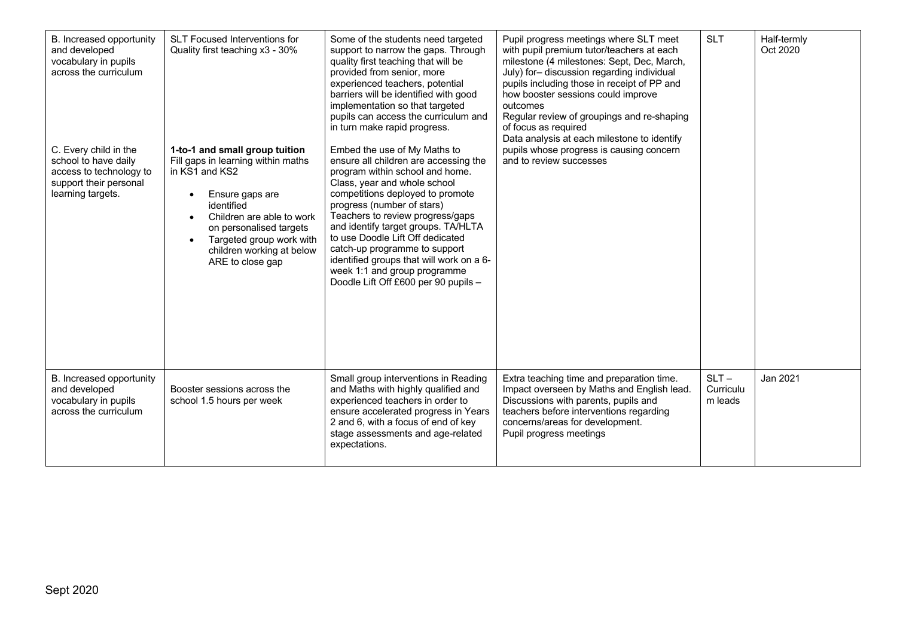| B. Increased opportunity<br>and developed<br>vocabulary in pupils<br>across the curriculum<br>C. Every child in the<br>school to have daily<br>access to technology to<br>support their personal<br>learning targets. | <b>SLT Focused Interventions for</b><br>Quality first teaching x3 - 30%<br>1-to-1 and small group tuition<br>Fill gaps in learning within maths<br>in KS1 and KS2<br>Ensure gaps are<br>$\bullet$<br>identified<br>Children are able to work<br>$\bullet$<br>on personalised targets<br>Targeted group work with<br>$\bullet$<br>children working at below<br>ARE to close gap | Some of the students need targeted<br>support to narrow the gaps. Through<br>quality first teaching that will be<br>provided from senior, more<br>experienced teachers, potential<br>barriers will be identified with good<br>implementation so that targeted<br>pupils can access the curriculum and<br>in turn make rapid progress.<br>Embed the use of My Maths to<br>ensure all children are accessing the<br>program within school and home.<br>Class, year and whole school<br>competitions deployed to promote<br>progress (number of stars)<br>Teachers to review progress/gaps<br>and identify target groups. TA/HLTA<br>to use Doodle Lift Off dedicated<br>catch-up programme to support<br>identified groups that will work on a 6-<br>week 1:1 and group programme<br>Doodle Lift Off £600 per 90 pupils - | Pupil progress meetings where SLT meet<br>with pupil premium tutor/teachers at each<br>milestone (4 milestones: Sept, Dec, March,<br>July) for- discussion regarding individual<br>pupils including those in receipt of PP and<br>how booster sessions could improve<br>outcomes<br>Regular review of groupings and re-shaping<br>of focus as required<br>Data analysis at each milestone to identify<br>pupils whose progress is causing concern<br>and to review successes | <b>SLT</b>                      | Half-termly<br>Oct 2020 |
|-----------------------------------------------------------------------------------------------------------------------------------------------------------------------------------------------------------------------|--------------------------------------------------------------------------------------------------------------------------------------------------------------------------------------------------------------------------------------------------------------------------------------------------------------------------------------------------------------------------------|-------------------------------------------------------------------------------------------------------------------------------------------------------------------------------------------------------------------------------------------------------------------------------------------------------------------------------------------------------------------------------------------------------------------------------------------------------------------------------------------------------------------------------------------------------------------------------------------------------------------------------------------------------------------------------------------------------------------------------------------------------------------------------------------------------------------------|------------------------------------------------------------------------------------------------------------------------------------------------------------------------------------------------------------------------------------------------------------------------------------------------------------------------------------------------------------------------------------------------------------------------------------------------------------------------------|---------------------------------|-------------------------|
| B. Increased opportunity<br>and developed<br>vocabulary in pupils<br>across the curriculum                                                                                                                            | Booster sessions across the<br>school 1.5 hours per week                                                                                                                                                                                                                                                                                                                       | Small group interventions in Reading<br>and Maths with highly qualified and<br>experienced teachers in order to<br>ensure accelerated progress in Years<br>2 and 6, with a focus of end of key<br>stage assessments and age-related<br>expectations.                                                                                                                                                                                                                                                                                                                                                                                                                                                                                                                                                                    | Extra teaching time and preparation time.<br>Impact overseen by Maths and English lead.<br>Discussions with parents, pupils and<br>teachers before interventions regarding<br>concerns/areas for development.<br>Pupil progress meetings                                                                                                                                                                                                                                     | $SLT -$<br>Curriculu<br>m leads | Jan 2021                |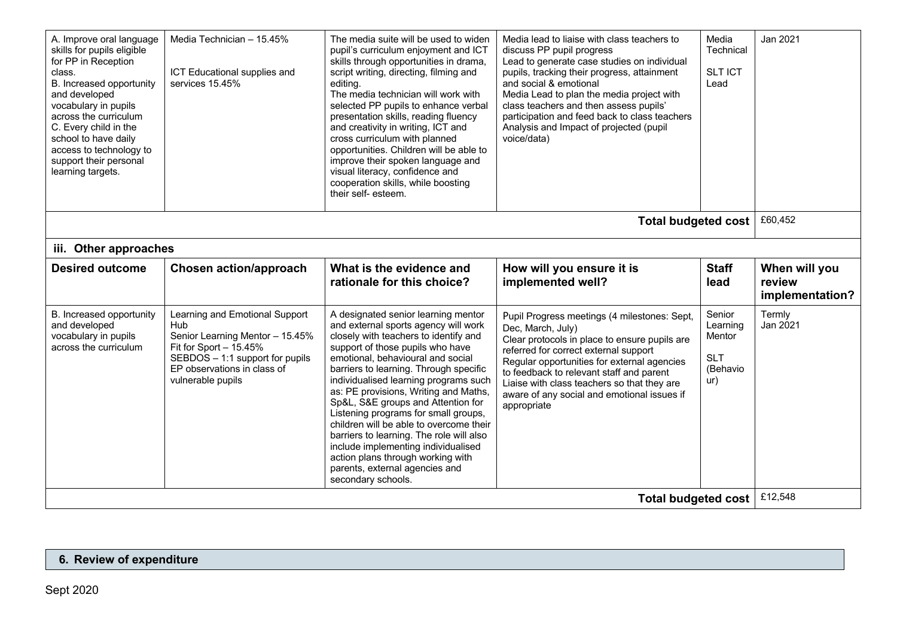| A. Improve oral language<br>skills for pupils eligible<br>for PP in Reception<br>class.<br>B. Increased opportunity<br>and developed<br>vocabulary in pupils<br>across the curriculum<br>C. Every child in the<br>school to have daily<br>access to technology to<br>support their personal<br>learning targets. | Media Technician - 15.45%<br>ICT Educational supplies and<br>services 15.45%                                                                                                               | The media suite will be used to widen<br>pupil's curriculum enjoyment and ICT<br>skills through opportunities in drama,<br>script writing, directing, filming and<br>editing.<br>The media technician will work with<br>selected PP pupils to enhance verbal<br>presentation skills, reading fluency<br>and creativity in writing, ICT and<br>cross curriculum with planned<br>opportunities. Children will be able to<br>improve their spoken language and<br>visual literacy, confidence and<br>cooperation skills, while boosting<br>their self- esteem.                                                                        | Media lead to liaise with class teachers to<br>discuss PP pupil progress<br>Lead to generate case studies on individual<br>pupils, tracking their progress, attainment<br>and social & emotional<br>Media Lead to plan the media project with<br>class teachers and then assess pupils'<br>participation and feed back to class teachers<br>Analysis and Impact of projected (pupil<br>voice/data) | Media<br>Technical<br><b>SLT ICT</b><br>Lead                  | Jan 2021                                   |  |
|------------------------------------------------------------------------------------------------------------------------------------------------------------------------------------------------------------------------------------------------------------------------------------------------------------------|--------------------------------------------------------------------------------------------------------------------------------------------------------------------------------------------|------------------------------------------------------------------------------------------------------------------------------------------------------------------------------------------------------------------------------------------------------------------------------------------------------------------------------------------------------------------------------------------------------------------------------------------------------------------------------------------------------------------------------------------------------------------------------------------------------------------------------------|----------------------------------------------------------------------------------------------------------------------------------------------------------------------------------------------------------------------------------------------------------------------------------------------------------------------------------------------------------------------------------------------------|---------------------------------------------------------------|--------------------------------------------|--|
| £60,452<br><b>Total budgeted cost</b>                                                                                                                                                                                                                                                                            |                                                                                                                                                                                            |                                                                                                                                                                                                                                                                                                                                                                                                                                                                                                                                                                                                                                    |                                                                                                                                                                                                                                                                                                                                                                                                    |                                                               |                                            |  |
| iii. Other approaches                                                                                                                                                                                                                                                                                            |                                                                                                                                                                                            |                                                                                                                                                                                                                                                                                                                                                                                                                                                                                                                                                                                                                                    |                                                                                                                                                                                                                                                                                                                                                                                                    |                                                               |                                            |  |
| <b>Desired outcome</b>                                                                                                                                                                                                                                                                                           | <b>Chosen action/approach</b>                                                                                                                                                              | What is the evidence and<br>rationale for this choice?                                                                                                                                                                                                                                                                                                                                                                                                                                                                                                                                                                             | How will you ensure it is<br>implemented well?                                                                                                                                                                                                                                                                                                                                                     | <b>Staff</b><br>lead                                          | When will you<br>review<br>implementation? |  |
| B. Increased opportunity<br>and developed<br>vocabulary in pupils<br>across the curriculum                                                                                                                                                                                                                       | Learning and Emotional Support<br>Hub<br>Senior Learning Mentor - 15.45%<br>Fit for Sport $-15.45%$<br>SEBDOS - 1:1 support for pupils<br>EP observations in class of<br>vulnerable pupils | A designated senior learning mentor<br>and external sports agency will work<br>closely with teachers to identify and<br>support of those pupils who have<br>emotional, behavioural and social<br>barriers to learning. Through specific<br>individualised learning programs such<br>as: PE provisions, Writing and Maths,<br>Sp&L, S&E groups and Attention for<br>Listening programs for small groups,<br>children will be able to overcome their<br>barriers to learning. The role will also<br>include implementing individualised<br>action plans through working with<br>parents, external agencies and<br>secondary schools. | Pupil Progress meetings (4 milestones: Sept,<br>Dec, March, July)<br>Clear protocols in place to ensure pupils are<br>referred for correct external support<br>Regular opportunities for external agencies<br>to feedback to relevant staff and parent<br>Liaise with class teachers so that they are<br>aware of any social and emotional issues if<br>appropriate                                | Senior<br>Learning<br>Mentor<br><b>SLT</b><br>(Behavio<br>ur) | Termly<br>Jan 2021                         |  |
| £12,548<br>Total budgeted cost                                                                                                                                                                                                                                                                                   |                                                                                                                                                                                            |                                                                                                                                                                                                                                                                                                                                                                                                                                                                                                                                                                                                                                    |                                                                                                                                                                                                                                                                                                                                                                                                    |                                                               |                                            |  |

## **6. Review of expenditure**